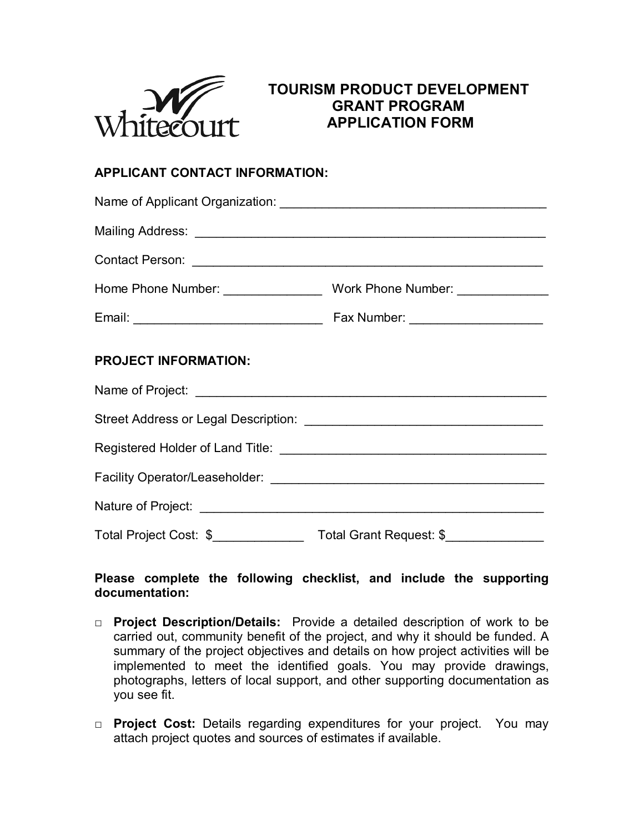

# **TOURISM PRODUCT DEVELOPMENT GRANT PROGRAM APPLICATION FORM**

## **APPLICANT CONTACT INFORMATION:**

| <b>PROJECT INFORMATION:</b> |  |
|-----------------------------|--|
|                             |  |
|                             |  |
|                             |  |
|                             |  |
|                             |  |
|                             |  |

## **Please complete the following checklist, and include the supporting documentation:**

- □ **Project Description/Details:** Provide a detailed description of work to be carried out, community benefit of the project, and why it should be funded. A summary of the project objectives and details on how project activities will be implemented to meet the identified goals. You may provide drawings, photographs, letters of local support, and other supporting documentation as you see fit.
- □ **Project Cost:** Details regarding expenditures for your project. You may attach project quotes and sources of estimates if available.